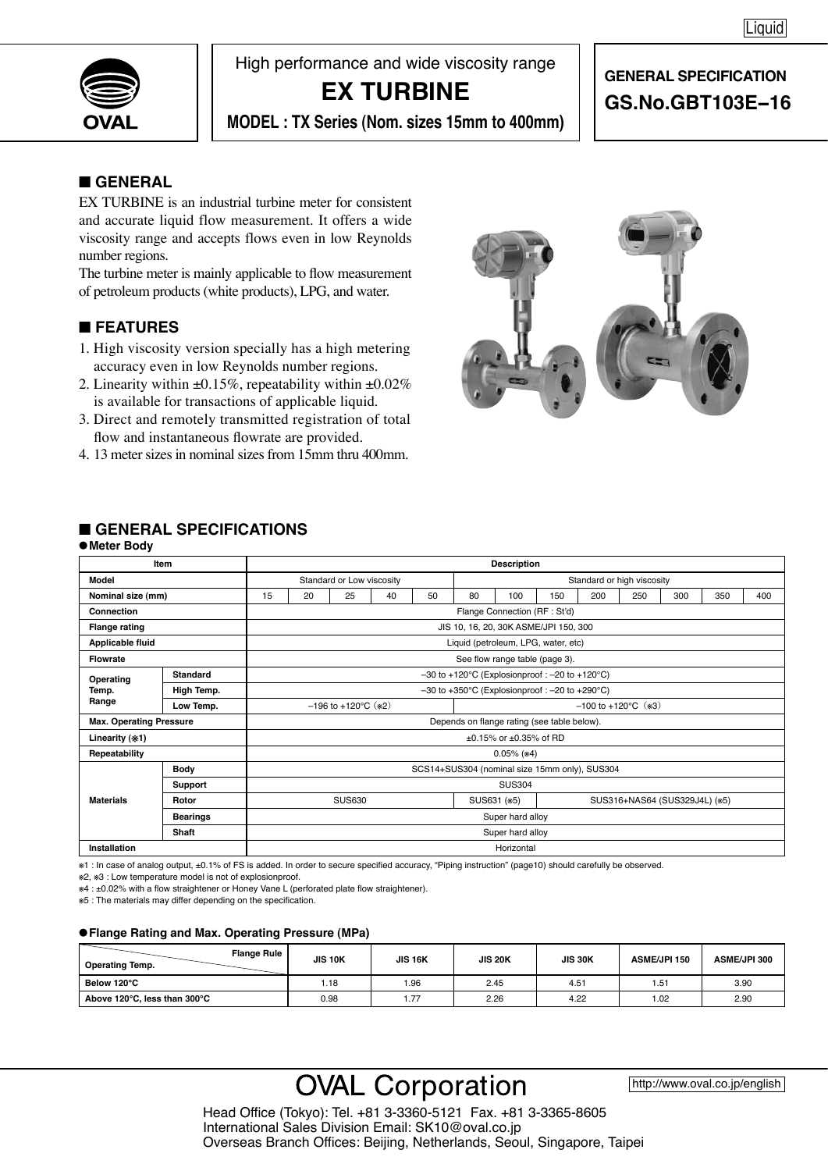

High performance and wide viscosity range

## **EX TURBINE**

# **GENERAL SPECIFICATION GS.No.GBT103E−16**

**MODEL : TX Series (Nom. sizes 15mm to 400mm)**

## ■ **GENERAL**

EX TURBINE is an industrial turbine meter for consistent and accurate liquid flow measurement. It offers a wide viscosity range and accepts flows even in low Reynolds number regions.

The turbine meter is mainly applicable to flow measurement of petroleum products (white products), LPG, and water.

## ■ **FEATURES**

- 1. High viscosity version specially has a high metering accuracy even in low Reynolds number regions.
- 2. Linearity within  $\pm 0.15\%$ , repeatability within  $\pm 0.02\%$ is available for transactions of applicable liquid.
- 3. Direct and remotely transmitted registration of total flow and instantaneous flowrate are provided.
- 4. 13 meter sizes in nominal sizes from 15mm thru 400mm.



## ■ **GENERAL SPECIFICATIONS**

|                                                               | Item            | <b>Description</b>                                |                                                                        |                                     |    |                                |                                 |                        |     |                               |     |     |     |     |
|---------------------------------------------------------------|-----------------|---------------------------------------------------|------------------------------------------------------------------------|-------------------------------------|----|--------------------------------|---------------------------------|------------------------|-----|-------------------------------|-----|-----|-----|-----|
| Model                                                         |                 |                                                   |                                                                        | Standard or Low viscosity           |    |                                | Standard or high viscosity      |                        |     |                               |     |     |     |     |
| Nominal size (mm)                                             |                 | 15                                                | 20                                                                     | 25                                  | 40 | 50                             | 80                              | 100                    | 150 | 200                           | 250 | 300 | 350 | 400 |
| Connection                                                    |                 |                                                   |                                                                        |                                     |    |                                | Flange Connection (RF : St'd)   |                        |     |                               |     |     |     |     |
| JIS 10, 16, 20, 30K ASME/JPI 150, 300<br><b>Flange rating</b> |                 |                                                   |                                                                        |                                     |    |                                |                                 |                        |     |                               |     |     |     |     |
| Liquid (petroleum, LPG, water, etc)<br>Applicable fluid       |                 |                                                   |                                                                        |                                     |    |                                |                                 |                        |     |                               |     |     |     |     |
| <b>Flowrate</b>                                               |                 |                                                   |                                                                        |                                     |    | See flow range table (page 3). |                                 |                        |     |                               |     |     |     |     |
| Operating                                                     | Standard        | $-30$ to +120°C (Explosionproof: $-20$ to +120°C) |                                                                        |                                     |    |                                |                                 |                        |     |                               |     |     |     |     |
| Temp.                                                         | High Temp.      |                                                   | $-30$ to $+350^{\circ}$ C (Explosionproof : $-20$ to $+290^{\circ}$ C) |                                     |    |                                |                                 |                        |     |                               |     |     |     |     |
| Range                                                         | Low Temp.       |                                                   |                                                                        | $-196$ to $+120^{\circ}$ C ( $*2$ ) |    |                                | $-100$ to $+120^{\circ}$ C (*3) |                        |     |                               |     |     |     |     |
| <b>Max. Operating Pressure</b>                                |                 |                                                   | Depends on flange rating (see table below).                            |                                     |    |                                |                                 |                        |     |                               |     |     |     |     |
| Linearity (*1)                                                |                 |                                                   |                                                                        |                                     |    |                                |                                 | ±0.15% or ±0.35% of RD |     |                               |     |     |     |     |
| Repeatability                                                 |                 |                                                   |                                                                        |                                     |    |                                |                                 | $0.05\%$ ( $*4$ )      |     |                               |     |     |     |     |
|                                                               | <b>Body</b>     | SCS14+SUS304 (nominal size 15mm only), SUS304     |                                                                        |                                     |    |                                |                                 |                        |     |                               |     |     |     |     |
|                                                               | Support         |                                                   |                                                                        |                                     |    |                                |                                 | <b>SUS304</b>          |     |                               |     |     |     |     |
| <b>Materials</b>                                              | Rotor           |                                                   |                                                                        | <b>SUS630</b>                       |    |                                | SUS631 (*5)                     |                        |     | SUS316+NAS64 (SUS329J4L) (*5) |     |     |     |     |
|                                                               | <b>Bearings</b> |                                                   |                                                                        |                                     |    |                                |                                 | Super hard alloy       |     |                               |     |     |     |     |
|                                                               | <b>Shaft</b>    |                                                   |                                                                        |                                     |    |                                |                                 | Super hard alloy       |     |                               |     |     |     |     |
| Installation                                                  |                 |                                                   |                                                                        |                                     |    |                                |                                 | Horizontal             |     |                               |     |     |     |     |

※1 : In case of analog output, ±0.1% of FS is added. In order to secure specified accuracy, "Piping instruction" (page10) should carefully be observed.

※2, ※3 : Low temperature model is not of explosionproof.

※4 : ±0.02% with a flow straightener or Honey Vane L (perforated plate flow straightener).

※5 : The materials may differ depending on the specification.

#### ●**Flange Rating and Max. Operating Pressure (MPa)**

| <b>Flange Rule</b><br><b>Operating Temp.</b> | <b>JIS 10K</b> | <b>JIS 16K</b> | <b>JIS 20K</b> | <b>JIS 30K</b> | <b>ASME/JPI 150</b> | <b>ASME/JPI 300</b> |
|----------------------------------------------|----------------|----------------|----------------|----------------|---------------------|---------------------|
| Below 120°C                                  | 1.18           | 96.            | 2.45           | 4.51           | 51.، ا              | 3.90                |
| Above 120°C, less than 300°C                 | 0.98           | .77            | 2.26           | 4.22           | 1.02                | 2.90                |

# **OVAL Corporation**

http://www.oval.co.jp/english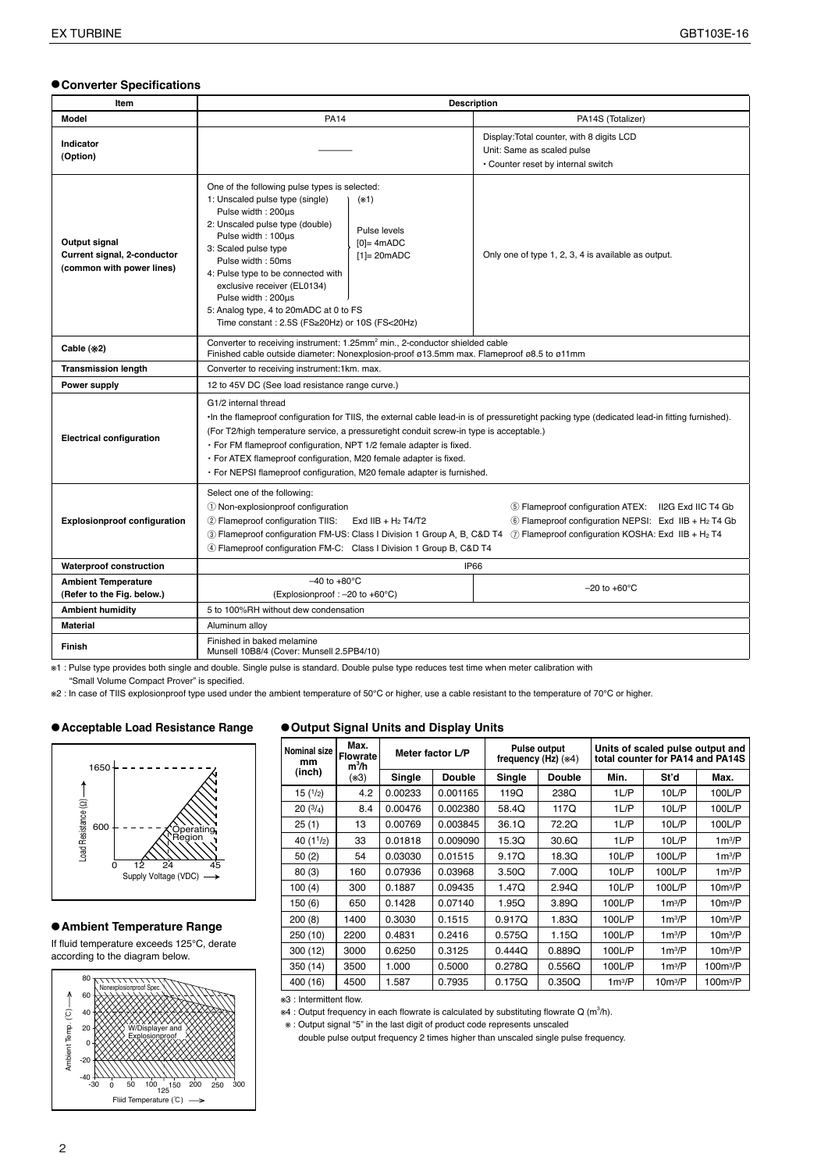#### ●**Converter Specifications**

| Item                                                                      | <b>Description</b>                                                                                                                                                                                                                                                                                                                                                                                                                                                                     |                                                                                                               |  |  |  |  |  |  |
|---------------------------------------------------------------------------|----------------------------------------------------------------------------------------------------------------------------------------------------------------------------------------------------------------------------------------------------------------------------------------------------------------------------------------------------------------------------------------------------------------------------------------------------------------------------------------|---------------------------------------------------------------------------------------------------------------|--|--|--|--|--|--|
| <b>Model</b>                                                              | <b>PA14</b>                                                                                                                                                                                                                                                                                                                                                                                                                                                                            | PA14S (Totalizer)                                                                                             |  |  |  |  |  |  |
| Indicator<br>(Option)                                                     |                                                                                                                                                                                                                                                                                                                                                                                                                                                                                        | Display: Total counter, with 8 digits LCD<br>Unit: Same as scaled pulse<br>• Counter reset by internal switch |  |  |  |  |  |  |
| Output signal<br>Current signal, 2-conductor<br>(common with power lines) | One of the following pulse types is selected:<br>1: Unscaled pulse type (single)<br>$(*1)$<br>Pulse width: 200us<br>2: Unscaled pulse type (double)<br>Pulse levels<br>Pulse width: 100us<br>$[0]=4mADC$<br>3: Scaled pulse type<br>$[1] = 20mADC$<br>Pulse width: 50ms<br>4: Pulse type to be connected with<br>exclusive receiver (EL0134)<br>Pulse width: 200µs<br>5: Analog type, 4 to 20mADC at 0 to FS<br>Time constant : 2.5S (FS≥20Hz) or 10S (FS<20Hz)                        | Only one of type 1, 2, 3, 4 is available as output.                                                           |  |  |  |  |  |  |
| Cable (*2)                                                                | Converter to receiving instrument: 1.25mm <sup>2</sup> min., 2-conductor shielded cable<br>Finished cable outside diameter: Nonexplosion-proof ø13.5mm max. Flameproof ø8.5 to ø11mm                                                                                                                                                                                                                                                                                                   |                                                                                                               |  |  |  |  |  |  |
| <b>Transmission length</b>                                                | Converter to receiving instrument:1km. max.                                                                                                                                                                                                                                                                                                                                                                                                                                            |                                                                                                               |  |  |  |  |  |  |
| Power supply                                                              | 12 to 45V DC (See load resistance range curve.)                                                                                                                                                                                                                                                                                                                                                                                                                                        |                                                                                                               |  |  |  |  |  |  |
| <b>Electrical configuration</b>                                           | G1/2 internal thread<br>•In the flameproof configuration for TIIS, the external cable lead-in is of pressuretight packing type (dedicated lead-in fitting furnished).<br>(For T2/high temperature service, a pressuretight conduit screw-in type is acceptable.)<br>· For FM flameproof configuration, NPT 1/2 female adapter is fixed.<br>· For ATEX flameproof configuration, M20 female adapter is fixed.<br>· For NEPSI flameproof configuration, M20 female adapter is furnished. |                                                                                                               |  |  |  |  |  |  |
| <b>Explosionproof configuration</b>                                       | Select one of the following:<br>1 Non-explosionproof configuration<br>5 Flameproof configuration ATEX: II2G Exd IIC T4 Gb<br>2 Flameproof configuration TIIS: Exd IIB + H <sub>2</sub> T4/T2<br>6 Flameproof configuration NEPSI: Exd IIB + H <sub>2</sub> T4 Gb<br>3) Flameproof configuration FM-US: Class I Division 1 Group A, B, C&D T4 ① Flameproof configuration KOSHA: Exd IIB + H <sub>2</sub> T4<br>4) Flameproof configuration FM-C: Class I Division 1 Group B, C&D T4     |                                                                                                               |  |  |  |  |  |  |
| <b>Waterproof construction</b>                                            | IP66                                                                                                                                                                                                                                                                                                                                                                                                                                                                                   |                                                                                                               |  |  |  |  |  |  |
| <b>Ambient Temperature</b><br>(Refer to the Fig. below.)                  | $-40$ to $+80^{\circ}$ C<br>(Explosionproof: $-20$ to $+60^{\circ}$ C)                                                                                                                                                                                                                                                                                                                                                                                                                 | $-20$ to $+60^{\circ}$ C                                                                                      |  |  |  |  |  |  |
| <b>Ambient humidity</b>                                                   | 5 to 100%RH without dew condensation                                                                                                                                                                                                                                                                                                                                                                                                                                                   |                                                                                                               |  |  |  |  |  |  |
| <b>Material</b>                                                           | Aluminum alloy                                                                                                                                                                                                                                                                                                                                                                                                                                                                         |                                                                                                               |  |  |  |  |  |  |
| <b>Finish</b>                                                             | Finished in baked melamine<br>Munsell 10B8/4 (Cover: Munsell 2.5PB4/10)                                                                                                                                                                                                                                                                                                                                                                                                                |                                                                                                               |  |  |  |  |  |  |

※1 : Pulse type provides both single and double. Single pulse is standard. Double pulse type reduces test time when meter calibration with

"Small Volume Compact Prover" is specified.

※2 : In case of TIIS explosionproof type used under the ambient temperature of 50℃ or higher, use a cable resistant to the temperature of 70℃ or higher.

#### ●**Acceptable Load Resistance Range**



#### ●**Ambient Temperature Range**

If fluid temperature exceeds 125°C, derate according to the diagram below.



#### ●**Output Signal Units and Display Units**

| Nominal size<br>mm | Max.<br><b>Flowrate</b><br>$m^3/h$ |         | Meter factor L/P |        | <b>Pulse output</b><br>frequency $(Hz)$ $(*4)$ | Units of scaled pulse output and<br>total counter for PA14 and PA14S |                     |                      |  |
|--------------------|------------------------------------|---------|------------------|--------|------------------------------------------------|----------------------------------------------------------------------|---------------------|----------------------|--|
| (inch)             | $(*3)$                             | Single  | <b>Double</b>    | Single | <b>Double</b>                                  | Min.                                                                 | St'd                | Max.                 |  |
| 15(1/2)            | 4.2                                | 0.00233 | 0.001165         | 119Q   | 238Q                                           | $1 \cup P$                                                           | 10L/P               | 100L/P               |  |
| 20(3/4)            | 8.4                                | 0.00476 | 0.002380         | 58.4Q  | 117Q                                           | 1 L/P                                                                | 10L/P               | 100L/P               |  |
| 25(1)              | 13                                 | 0.00769 | 0.003845         | 36.1Q  | 72.2Q                                          | 1 L/P                                                                | 10L/P               | 100L/P               |  |
| 40 $(11/2)$        | 33                                 | 0.01818 | 0.009090         | 15.3Q  | 30.6Q                                          | 1 L/P                                                                | 10L/P               | $1m^3/P$             |  |
| 50(2)              | 54                                 | 0.03030 | 0.01515          | 9.17Q  | 18.3Q                                          | 10LP                                                                 | 100L/P              | $1m^3/P$             |  |
| 80(3)              | 160                                | 0.07936 | 0.03968          | 3.50Q  | 7.00Q                                          | 10LP                                                                 | 100L/P              | $1m^3/P$             |  |
| 100(4)             | 300                                | 0.1887  | 0.09435          | 1.47Q  | 2.94Q                                          | 10LP                                                                 | 100L/P              | $10m^3/P$            |  |
| 150 (6)            | 650                                | 0.1428  | 0.07140          | 1.95Q  | 3.89Q                                          | 100L/P                                                               | $1m^3/P$            | $10m^3/P$            |  |
| 200(8)             | 1400                               | 0.3030  | 0.1515           | 0.917Q | 1.83Q                                          | 100L/P                                                               | $1m^3/P$            | $10m^3/P$            |  |
| 250 (10)           | 2200                               | 0.4831  | 0.2416           | 0.575Q | 1.15Q                                          | 100L/P                                                               | $1m^3/P$            | $10m^3/P$            |  |
| 300 (12)           | 3000                               | 0.6250  | 0.3125           | 0.444Q | 0.889Q                                         | 100L/P                                                               | $1m^3/P$            | $10m^3/P$            |  |
| 350 (14)           | 3500                               | 1.000   | 0.5000           | 0.278Q | 0.556Q                                         | 100L/P                                                               | $1m^3/P$            | 100m <sup>3</sup> /P |  |
| 400 (16)           | 4500                               | 1.587   | 0.7935           | 0.175Q | 0.350Q                                         | $1m^3/P$                                                             | 10m <sup>3</sup> /P | 100m <sup>3</sup> /P |  |

※3 : Intermittent flow.

\*4 : Output frequency in each flowrate is calculated by substituting flowrate Q (m<sup>3</sup>/h).

※ : Output signal "5" in the last digit of product code represents unscaled

double pulse output frequency 2 times higher than unscaled single pulse frequency.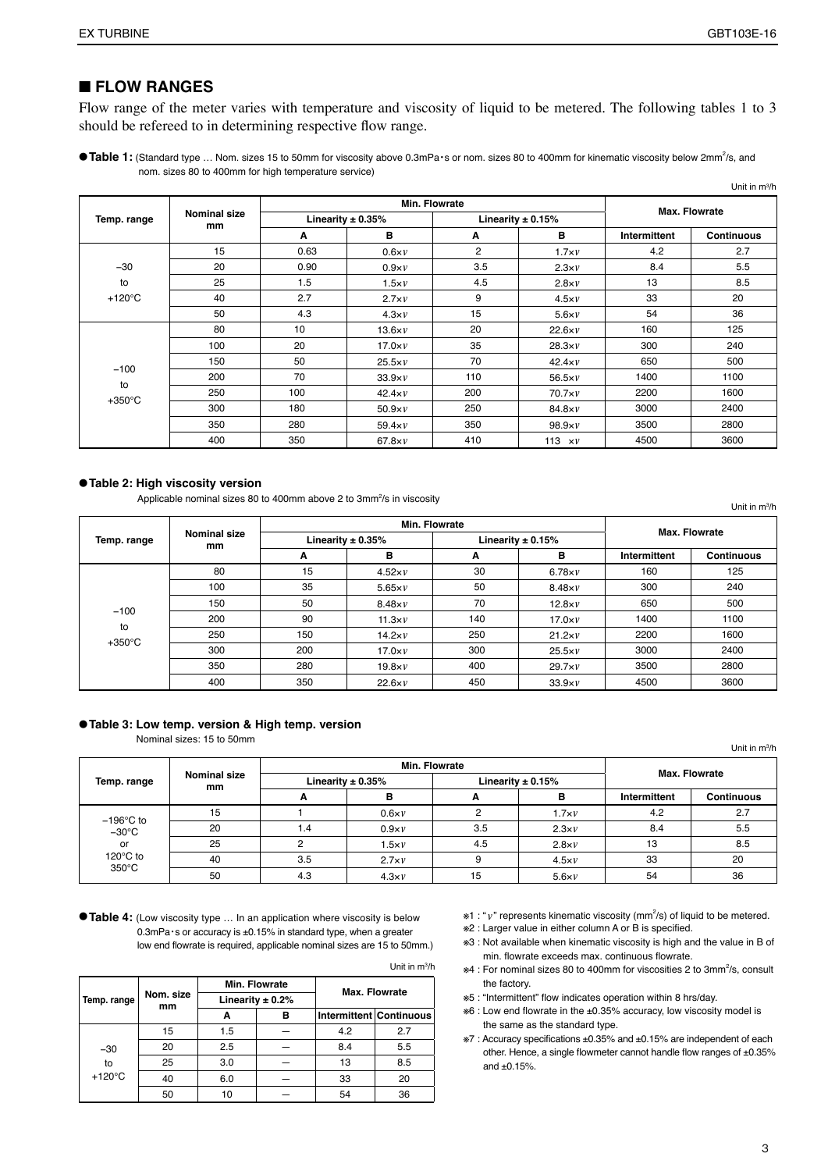#### ■ **FLOW RANGES**

Flow range of the meter varies with temperature and viscosity of liquid to be metered. The following tables 1 to 3 should be refereed to in determining respective flow range.

● Table 1: (Standard type ... Nom. sizes 15 to 50mm for viscosity above 0.3mPa·s or nom. sizes 80 to 400mm for kinematic viscosity below 2mm<sup>2</sup>/s, and nom. sizes 80 to 400mm for high temperature service)

|                        |                    |      |                       |                |                       |              | Unit in $m^3/h$   |  |
|------------------------|--------------------|------|-----------------------|----------------|-----------------------|--------------|-------------------|--|
|                        |                    |      | Min. Flowrate         | Max. Flowrate  |                       |              |                   |  |
| Temp. range            | Nominal size<br>mm |      | Linearity $\pm$ 0.35% |                | Linearity $\pm$ 0.15% |              |                   |  |
|                        |                    | A    | в                     | A              | в                     | Intermittent | <b>Continuous</b> |  |
|                        | 15                 | 0.63 | $0.6\times V$         | $\overline{2}$ | $1.7\times v$         | 4.2          | 2.7               |  |
| $-30$                  | 20                 | 0.90 | $0.9\times v$         | 3.5            | $2.3\times v$         | 8.4          | 5.5               |  |
| to                     | 25                 | 1.5  | $1.5\times V$         | 4.5            | $2.8\times v$         | 13           | 8.5               |  |
| $+120^{\circ}$ C       | 40                 | 2.7  | $2.7\times v$         | 9              | $4.5\times v$         | 33           | 20                |  |
|                        | 50                 | 4.3  | $4.3\times v$         | 15             | $5.6\times V$         | 54           | 36                |  |
|                        | 80                 | 10   | $13.6\times V$        | 20             | $22.6\times v$        | 160          | 125               |  |
|                        | 100                | 20   | $17.0\times v$        | 35             | $28.3\times v$        | 300          | 240               |  |
|                        | 150                | 50   | $25.5\times v$        | 70             | $42.4\times v$        | 650          | 500               |  |
| $-100$                 | 200                | 70   | $33.9\times V$        | 110            | $56.5\times v$        | 1400         | 1100              |  |
| to<br>$+350^{\circ}$ C | 250                | 100  | $42.4\times v$        | 200            | $70.7\times v$        | 2200         | 1600              |  |
|                        | 300                | 180  | $50.9\times v$        | 250            | $84.8\times V$        | 3000         | 2400              |  |
|                        | 350                | 280  | $59.4\times V$        | 350            | $98.9\times V$        | 3500         | 2800              |  |
|                        | 400                | 350  | $67.8\times V$        | 410            | 113 $\times v$        | 4500         | 3600              |  |

#### ●**Table 2: High viscosity version**

Applicable nominal sizes 80 to 400mm above 2 to 3mm<sup>2</sup>/s in viscosity

Unit in m3 /h

|                  |                           |     | Min. Flowrate         | Max. Flowrate |                       |              |                   |  |
|------------------|---------------------------|-----|-----------------------|---------------|-----------------------|--------------|-------------------|--|
| Temp. range      | <b>Nominal size</b><br>mm |     | Linearity $\pm$ 0.35% |               | Linearity $\pm$ 0.15% |              |                   |  |
|                  |                           | A   | в                     | A             | в                     | Intermittent | <b>Continuous</b> |  |
|                  | 80                        | 15  | $4.52\times v$        | 30            | $6.78\times v$        | 160          | 125               |  |
|                  | 100                       | 35  | $5.65\times v$        | 50            | $8.48\times v$        | 300          | 240               |  |
| $-100$           | 150                       | 50  | $8.48\times v$        | 70            | $12.8\times v$        | 650          | 500               |  |
| to               | 200                       | 90  | $11.3\times v$        | 140           | $17.0\times v$        | 1400         | 1100              |  |
| $+350^{\circ}$ C | 250                       | 150 | $14.2\times v$        | 250           | $21.2\times v$        | 2200         | 1600              |  |
|                  | 300                       | 200 | $17.0\times v$        | 300           | $25.5\times v$        | 3000         | 2400              |  |
|                  | 350                       | 280 | $19.8\times v$        | 400           | $29.7\times V$        | 3500         | 2800              |  |
|                  | 400                       | 350 | $22.6\times V$        | 450           | $33.9\times V$        | 4500         | 3600              |  |

#### ●**Table 3: Low temp. version & High temp. version**

Nominal sizes: 15 to 50mm

**Temp. range Nominal size mm Min. Flowrate Max. Flowrate Linearity ± 0.35% Linearity ± 0.15% A B A B Intermittent Continuous** −196℃ to −30℃ or 120℃ to 350℃ 15 | 1 |  $0.6\times v$  | 2 | 1.7 $\times v$  | 4.2 | 2.7 20 | 1.4 |  $0.9\times v$  | 3.5 |  $2.3\times v$  | 8.4 | 5.5 25 | 2 | 1.5 $xv$  | 4.5 | 2.8 $xv$  | 13 | 8.5 40 | 3.5 | 2.7×*v* | 9 | 4.5×*v* | 33 | 20 50 | 4.3 |  $4.3xv$  | 15 |  $5.6xv$  | 54 | 36 Unit in m3 /h

●**Table 4:** (Low viscosity type … In an application where viscosity is below 0.3mPa・s or accuracy is ±0.15% in standard type, when a greater low end flowrate is required, applicable nominal sizes are 15 to 50mm.)

**Temp. range Nom. size mm Min. Flowrate Max. Flowrate Linearity ± 0.2% A B Intermittent Continuous** −30 to +120℃ 15 | 1.5 | - | 4.2 | 2.7 20 2.5 — 8.4 5.5 25 3.0 — 13 8.5 40 | 6.0 | - | 33 | 20 50 10 — 54 36 Unit in m3 /h

- $*1$ : " $\nu$ " represents kinematic viscosity (mm<sup>2</sup>/s) of liquid to be metered.
- ※2 : Larger value in either column A or B is specified.
- ※3 : Not available when kinematic viscosity is high and the value in B of min. flowrate exceeds max. continuous flowrate.
- ※4 : For nominal sizes 80 to 400mm for viscosities 2 to 3mm<sup>2</sup> /s, consult the factory.
- ※5 : "Intermittent" flow indicates operation within 8 hrs/day.
- ※6 : Low end flowrate in the ±0.35% accuracy, low viscosity model is the same as the standard type.
- ※7 : Accuracy specifications ±0.35% and ±0.15% are independent of each other. Hence, a single flowmeter cannot handle flow ranges of ±0.35% and  $±0.15%$ .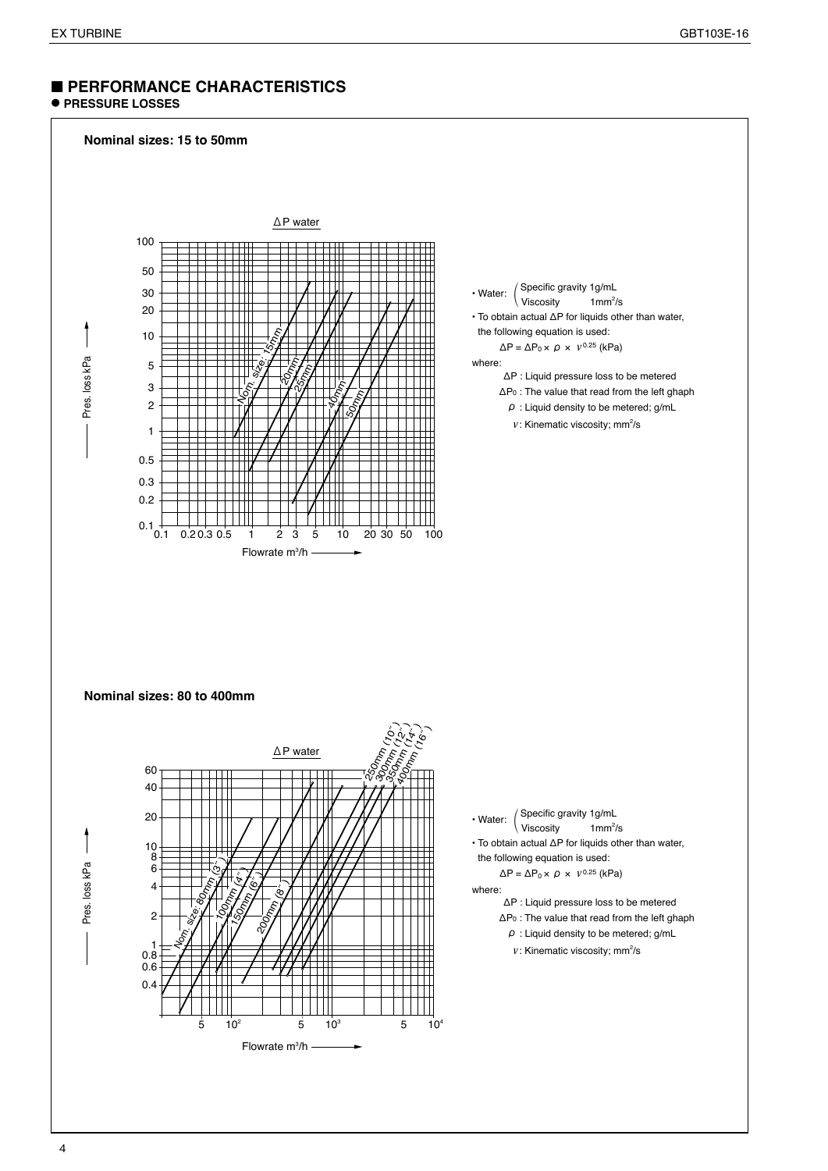## ■ **PERFORMANCE CHARACTERISTICS**

## ● **PRESSURE LOSSES**

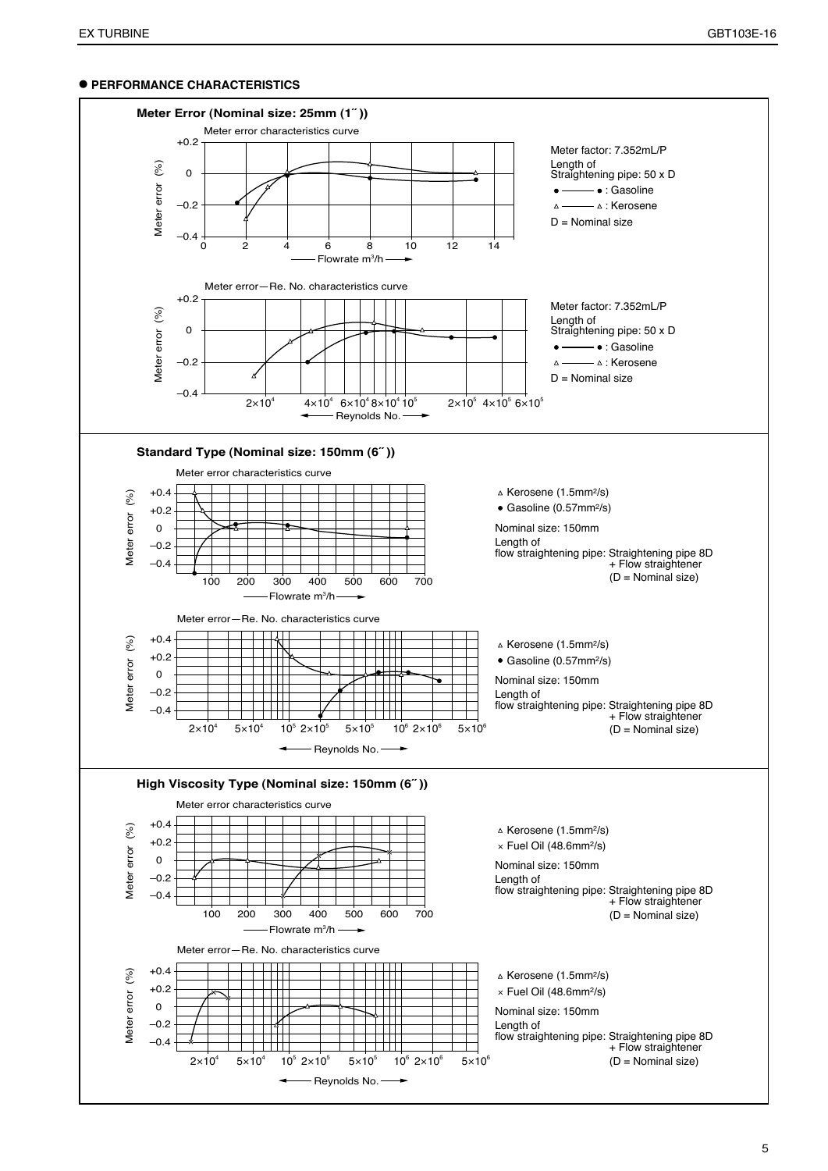#### ● **PERFORMANCE CHARACTERISTICS**

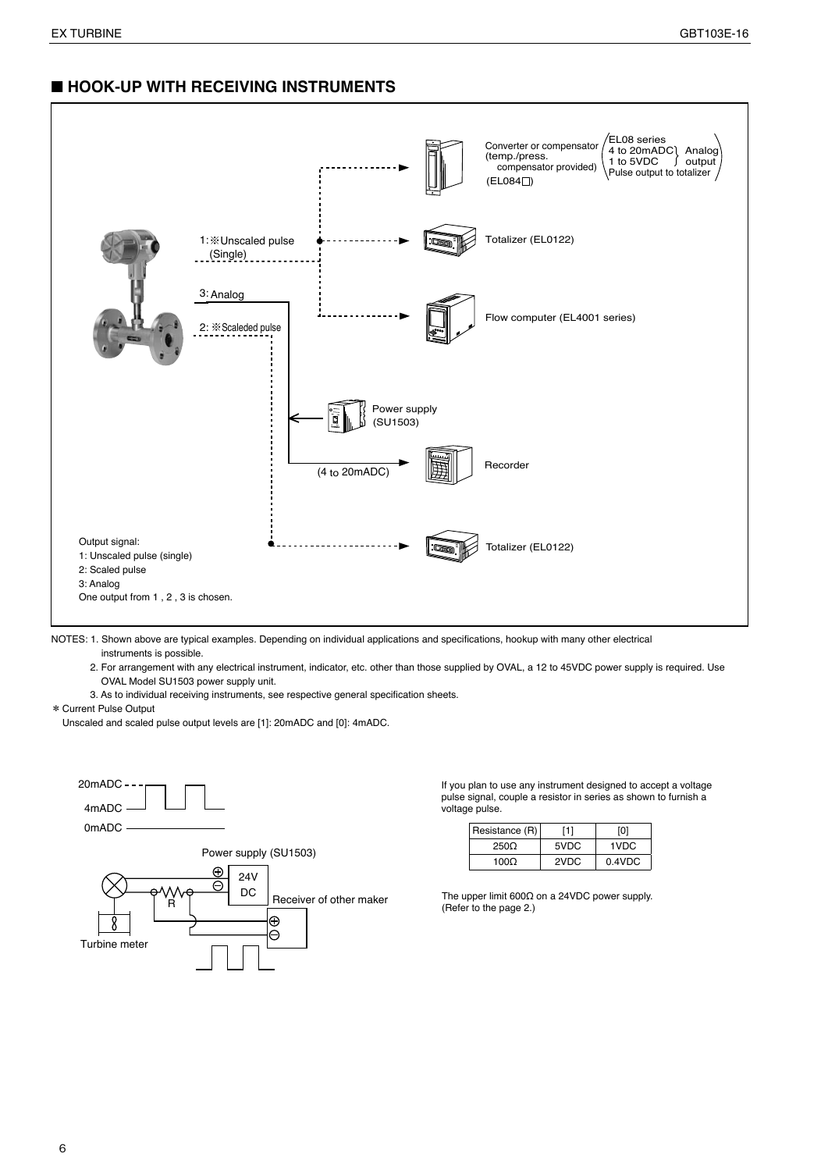## ■ **HOOK-UP WITH RECEIVING INSTRUMENTS**



NOTES: 1. Shown above are typical examples. Depending on individual applications and specifications, hookup with many other electrical instruments is possible.

2. For arrangement with any electrical instrument, indicator, etc. other than those supplied by OVAL, a 12 to 45VDC power supply is required. Use OVAL Model SU1503 power supply unit.

3. As to individual receiving instruments, see respective general specification sheets.

\* Current Pulse Output

Unscaled and scaled pulse output levels are [1]: 20mADC and [0]: 4mADC.



If you plan to use any instrument designed to accept a voltage pulse signal, couple a resistor in series as shown to furnish a voltage pulse.

| Resistance (R) | [1]  | וסי       |
|----------------|------|-----------|
| $250\Omega$    | 5VDC | 1VDC      |
| 1000           | 2VDC | $0.4$ VDC |

The upper limit 600Ω on a 24VDC power supply. (Refer to the page 2.)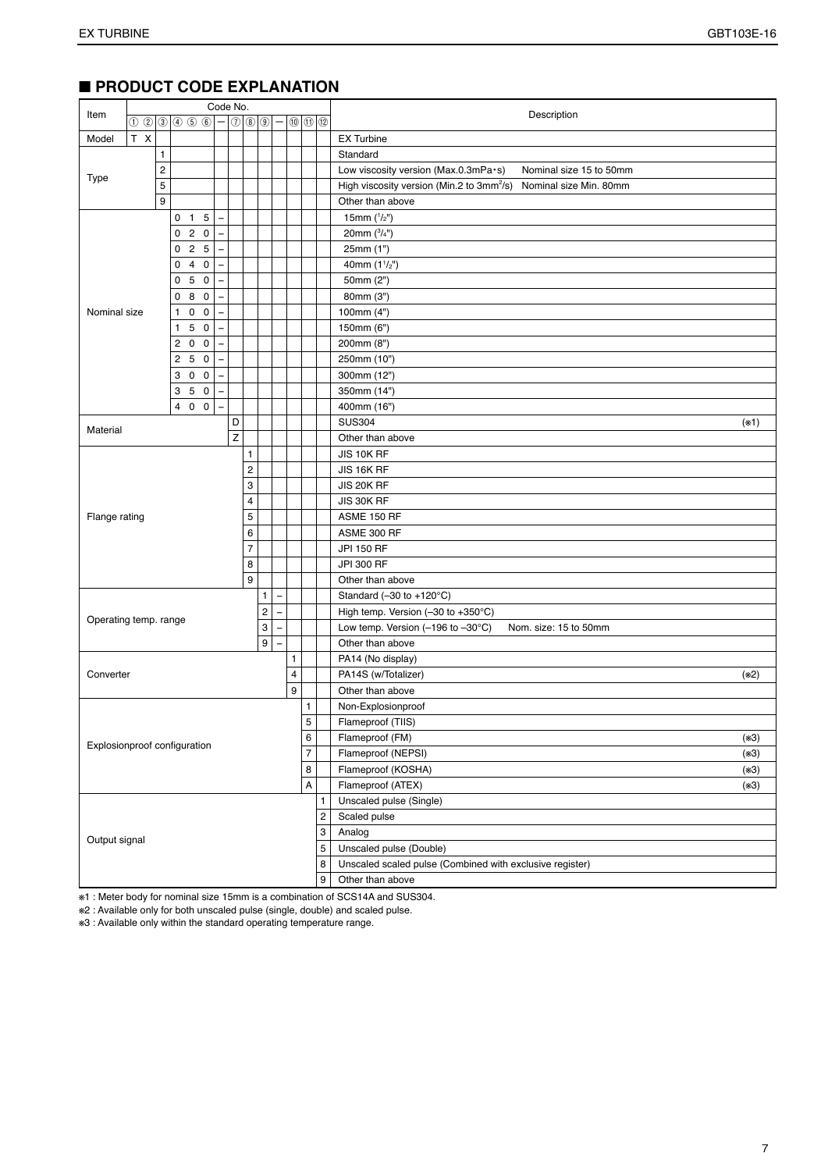| Item                  |                              |   |                    | Code No.          |                              |                         |                                  | Description<br>$\circledcirc$ $\circledcirc$ |   |            |                                                                                 |        |  |  |  |
|-----------------------|------------------------------|---|--------------------|-------------------|------------------------------|-------------------------|----------------------------------|----------------------------------------------|---|------------|---------------------------------------------------------------------------------|--------|--|--|--|
|                       |                              |   | 000000000          | $\qquad \qquad -$ |                              |                         | $\bigcirc$ $\bigcirc$ $\bigcirc$ |                                              |   |            |                                                                                 |        |  |  |  |
| Model                 | T X                          |   |                    |                   |                              |                         |                                  |                                              |   |            | <b>EX Turbine</b>                                                               |        |  |  |  |
|                       |                              | 1 |                    |                   |                              |                         |                                  |                                              |   |            | Standard                                                                        |        |  |  |  |
| Type                  |                              | 2 |                    |                   |                              |                         |                                  |                                              |   |            | Low viscosity version (Max.0.3mPa·s)<br>Nominal size 15 to 50mm                 |        |  |  |  |
|                       |                              | 5 |                    |                   |                              |                         |                                  |                                              |   |            | High viscosity version (Min.2 to 3mm <sup>2</sup> /s)<br>Nominal size Min. 80mm |        |  |  |  |
|                       |                              | 9 |                    |                   |                              |                         |                                  |                                              |   |            | Other than above                                                                |        |  |  |  |
|                       |                              |   | $0$ 1 5            | L.                |                              |                         |                                  |                                              |   |            | 15mm $(^{1}/_{2}$ ")                                                            |        |  |  |  |
|                       |                              |   | 020                |                   |                              |                         |                                  |                                              |   |            | 20mm $(^{3}/_{4}^{\prime\prime})$                                               |        |  |  |  |
|                       |                              |   | 025                |                   |                              |                         |                                  |                                              |   |            | 25mm (1")                                                                       |        |  |  |  |
|                       |                              |   | 4 0<br>0           |                   |                              |                         |                                  |                                              |   |            | 40mm $(11/2'')$                                                                 |        |  |  |  |
|                       |                              |   | 5 0<br>0           |                   |                              |                         |                                  |                                              |   |            | 50mm (2")                                                                       |        |  |  |  |
|                       |                              |   | 8 0<br>0           |                   |                              |                         |                                  |                                              |   |            | 80mm (3")                                                                       |        |  |  |  |
| Nominal size          |                              |   | $0\quad 0$<br>1.   |                   |                              |                         |                                  |                                              |   |            | 100mm (4")                                                                      |        |  |  |  |
|                       |                              |   | 50<br>$\mathbf{1}$ |                   |                              |                         |                                  |                                              |   |            | 150mm (6")                                                                      |        |  |  |  |
|                       |                              |   | 200                |                   |                              |                         |                                  |                                              |   |            | 200mm (8")                                                                      |        |  |  |  |
|                       |                              |   | 250                |                   |                              |                         |                                  |                                              |   |            | 250mm (10")                                                                     |        |  |  |  |
|                       |                              |   | $0\quad 0$<br>3    |                   |                              |                         |                                  |                                              |   |            | 300mm (12")                                                                     |        |  |  |  |
|                       |                              |   | 5 0<br>3           |                   |                              |                         |                                  |                                              |   |            | 350mm (14")                                                                     |        |  |  |  |
|                       |                              |   | 4 0 0              |                   |                              |                         |                                  |                                              |   |            | 400mm (16")                                                                     |        |  |  |  |
| Material              |                              |   |                    |                   | D                            |                         |                                  |                                              |   |            | <b>SUS304</b>                                                                   | $(*1)$ |  |  |  |
|                       |                              |   |                    |                   | $\overline{z}$               |                         |                                  |                                              |   |            | Other than above                                                                |        |  |  |  |
|                       |                              |   |                    |                   |                              | 1                       |                                  |                                              |   |            | JIS 10K RF                                                                      |        |  |  |  |
|                       |                              |   |                    |                   |                              | $\overline{\mathbf{c}}$ |                                  |                                              |   |            | JIS 16K RF                                                                      |        |  |  |  |
|                       | 3                            |   |                    |                   |                              | JIS 20K RF              |                                  |                                              |   |            |                                                                                 |        |  |  |  |
|                       |                              |   |                    |                   |                              | 4                       |                                  |                                              |   |            | JIS 30K RF                                                                      |        |  |  |  |
| Flange rating         |                              |   |                    |                   |                              | 5                       |                                  |                                              |   |            | ASME 150 RF                                                                     |        |  |  |  |
|                       |                              |   |                    |                   |                              | 6                       |                                  |                                              |   |            | ASME 300 RF                                                                     |        |  |  |  |
|                       |                              |   |                    |                   |                              | 7                       |                                  |                                              |   |            | JPI 150 RF                                                                      |        |  |  |  |
|                       |                              |   |                    |                   |                              | 8                       |                                  |                                              |   |            | JPI 300 RF                                                                      |        |  |  |  |
|                       |                              |   |                    |                   |                              | 9                       |                                  |                                              |   |            | Other than above                                                                |        |  |  |  |
|                       |                              |   |                    |                   |                              |                         | $\mathbf{1}$                     |                                              |   |            | Standard (-30 to +120°C)                                                        |        |  |  |  |
| Operating temp. range |                              |   |                    |                   |                              |                         | $\overline{c}$                   |                                              |   |            | High temp. Version (-30 to +350°C)                                              |        |  |  |  |
|                       |                              |   |                    |                   |                              |                         | 3                                |                                              |   |            | Low temp. Version (-196 to -30°C)<br>Nom. size: 15 to 50mm                      |        |  |  |  |
|                       |                              |   |                    |                   |                              |                         | 9                                |                                              |   |            | Other than above                                                                |        |  |  |  |
|                       |                              |   |                    |                   |                              |                         |                                  | 1                                            |   |            | PA14 (No display)                                                               |        |  |  |  |
| Converter             |                              |   |                    |                   |                              |                         |                                  | 4                                            |   |            | PA14S (w/Totalizer)                                                             | (*2)   |  |  |  |
|                       |                              |   |                    |                   |                              |                         |                                  | 9                                            |   |            | Other than above                                                                |        |  |  |  |
|                       |                              |   |                    |                   |                              |                         |                                  |                                              | 1 |            | Non-Explosionproof                                                              |        |  |  |  |
|                       |                              |   |                    |                   |                              |                         |                                  |                                              | 5 |            | Flameproof (TIIS)                                                               |        |  |  |  |
|                       |                              |   |                    |                   |                              |                         |                                  |                                              | 6 |            | Flameproof (FM)                                                                 | $(*3)$ |  |  |  |
|                       | Explosionproof configuration |   |                    | $\overline{7}$    |                              | Flameproof (NEPSI)      | $(*3)$                           |                                              |   |            |                                                                                 |        |  |  |  |
|                       |                              |   | 8                  |                   | Flameproof (KOSHA)<br>$(*3)$ |                         |                                  |                                              |   |            |                                                                                 |        |  |  |  |
|                       |                              |   |                    |                   |                              |                         |                                  |                                              | А |            | Flameproof (ATEX)                                                               | $(*3)$ |  |  |  |
|                       |                              |   |                    |                   |                              |                         |                                  |                                              |   | 1          | Unscaled pulse (Single)                                                         |        |  |  |  |
|                       |                              |   |                    |                   |                              |                         |                                  |                                              |   | $\sqrt{2}$ | Scaled pulse                                                                    |        |  |  |  |
| Output signal         |                              |   |                    |                   |                              |                         |                                  |                                              |   | 3          | Analog                                                                          |        |  |  |  |
|                       |                              |   |                    | 5                 | Unscaled pulse (Double)      |                         |                                  |                                              |   |            |                                                                                 |        |  |  |  |
|                       |                              |   |                    |                   |                              |                         |                                  |                                              |   | 8          | Unscaled scaled pulse (Combined with exclusive register)                        |        |  |  |  |
|                       |                              |   |                    |                   |                              |                         |                                  |                                              |   | 9          | Other than above                                                                |        |  |  |  |

## ■ **PRODUCT CODE EXPLANATION**

※1 : Meter body for nominal size 15mm is a combination of SCS14A and SUS304.

※2 : Available only for both unscaled pulse (single, double) and scaled pulse.

※3 : Available only within the standard operating temperature range.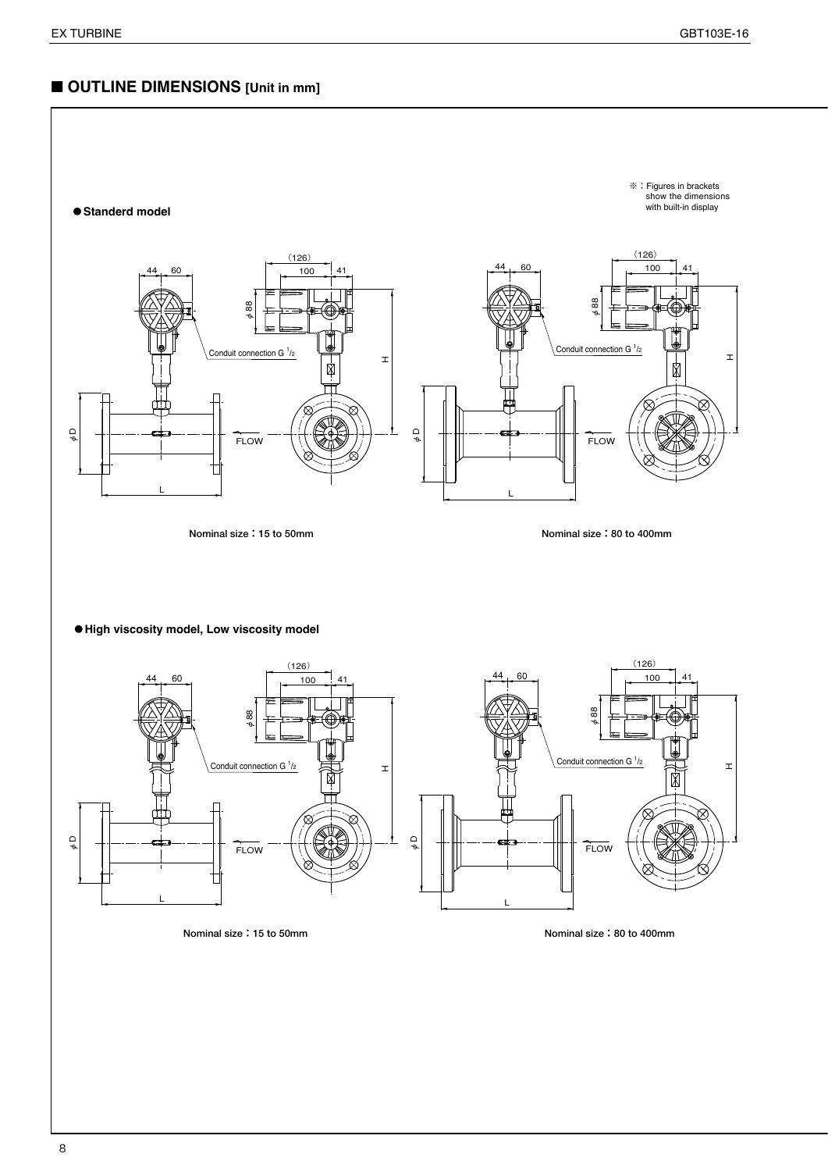## ■ **OUTLINE DIMENSIONS** [Unit in mm]



**Nominal size:15 to 50mm Nominal size:80 to 400mm**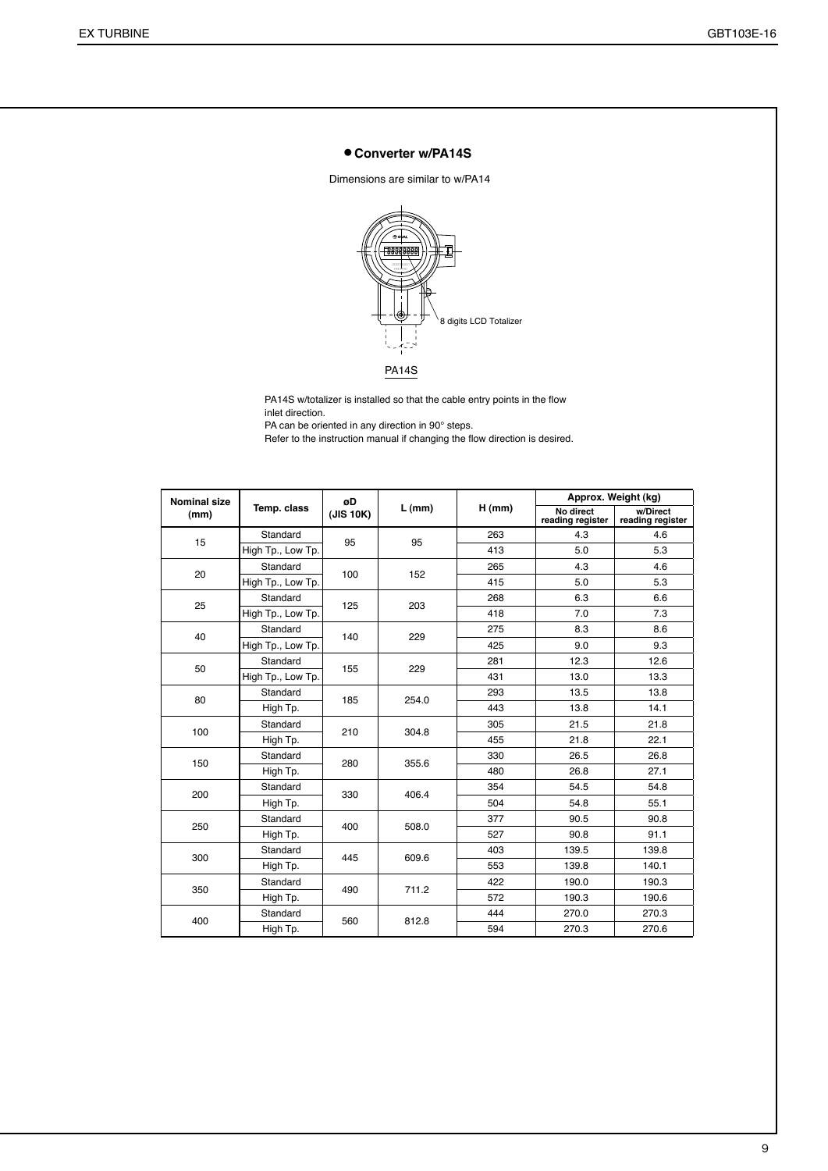#### ● **Converter w/PA14S**

Dimensions are similar to w/PA14



PA14S w/totalizer is installed so that the cable entry points in the flow inlet direction.

PA can be oriented in any direction in 90° steps.

Refer to the instruction manual if changing the flow direction is desired.

| <b>Nominal size</b> |                   | øD        |          |          |                               | Approx. Weight (kg)          |
|---------------------|-------------------|-----------|----------|----------|-------------------------------|------------------------------|
| (mm)                | Temp. class       | (JIS 10K) | $L$ (mm) | $H$ (mm) | No direct<br>reading register | w/Direct<br>reading register |
| 15                  | Standard          | 95        | 95       | 263      | 4.3                           | 4.6                          |
|                     | High Tp., Low Tp. |           |          | 413      | 5.0                           | 5.3                          |
| 20                  | Standard          | 100       | 152      | 265      | 4.3                           | 4.6                          |
|                     | High Tp., Low Tp. |           |          | 415      | 5.0                           | 5.3                          |
| 25                  | Standard          | 125       | 203      | 268      | 6.3                           | 6.6                          |
|                     | High Tp., Low Tp. |           |          | 418      | 7.0                           | 7.3                          |
| 40                  | Standard          | 140       | 229      | 275      | 8.3                           | 8.6                          |
|                     | High Tp., Low Tp. |           |          | 425      | 9.0                           | 9.3                          |
| 50                  | Standard          | 155       | 229      | 281      | 12.3                          | 12.6                         |
|                     | High Tp., Low Tp. |           |          | 431      | 13.0                          | 13.3                         |
| 80                  | Standard          | 185       | 254.0    | 293      | 13.5                          | 13.8                         |
|                     | High Tp.          |           |          | 443      | 13.8                          | 14.1                         |
| 100                 | Standard          | 210       | 304.8    | 305      | 21.5                          | 21.8                         |
|                     | High Tp.          |           |          | 455      | 21.8                          | 22.1                         |
| 150                 | Standard          | 280       | 355.6    | 330      | 26.5                          | 26.8                         |
|                     | High Tp.          |           |          | 480      | 26.8                          | 27.1                         |
| 200                 | Standard          | 330       | 406.4    | 354      | 54.5                          | 54.8                         |
|                     | High Tp.          |           |          | 504      | 54.8                          | 55.1                         |
| 250                 | Standard          | 400       | 508.0    | 377      | 90.5                          | 90.8                         |
|                     | High Tp.          |           |          | 527      | 90.8                          | 91.1                         |
| 300                 | Standard          | 445       | 609.6    | 403      | 139.5                         | 139.8                        |
|                     | High Tp.          |           |          | 553      | 139.8                         | 140.1                        |
| 350                 | Standard          | 490       | 711.2    | 422      | 190.0                         | 190.3                        |
|                     | High Tp.          |           |          | 572      | 190.3                         | 190.6                        |
| 400                 | Standard          | 560       |          | 444      | 270.0                         | 270.3                        |
|                     | High Tp.          |           | 812.8    | 594      | 270.3                         | 270.6                        |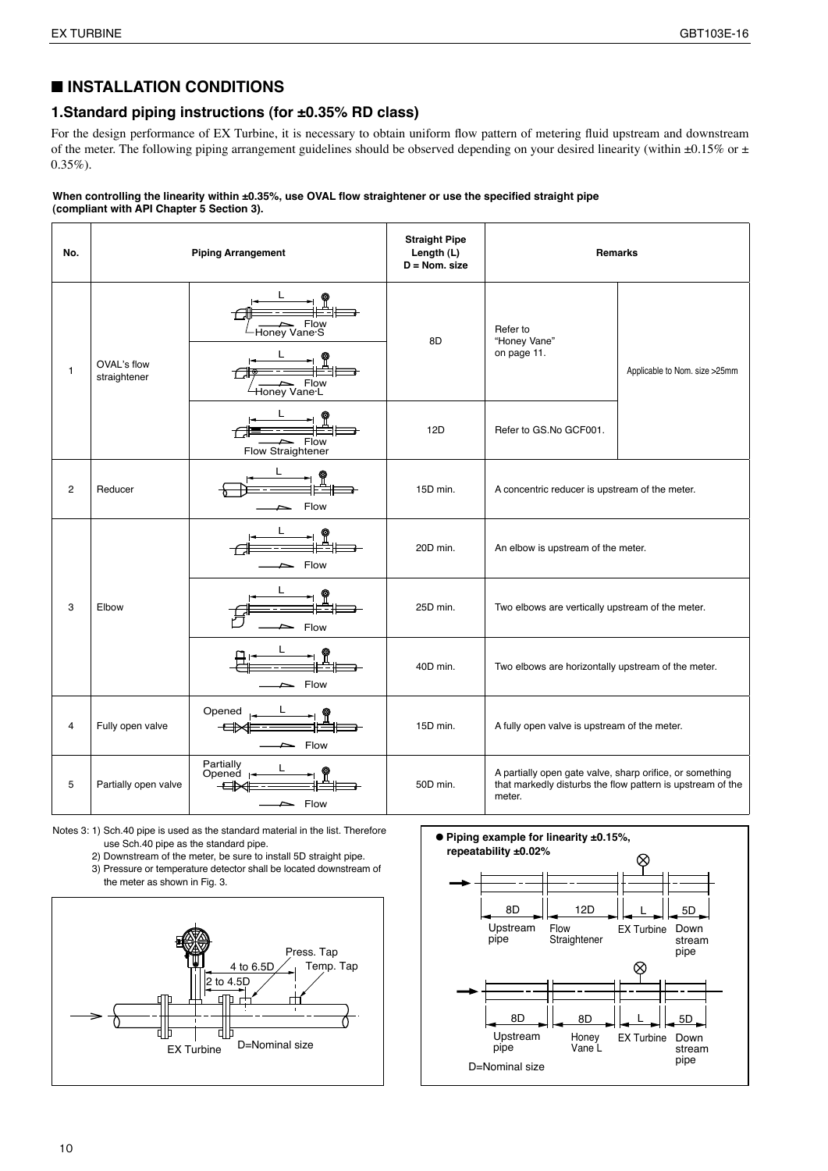## ■ **INSTALLATION CONDITIONS**

#### **1.Standard piping instructions (for ±0.35% RD class)**

For the design performance of EX Turbine, it is necessary to obtain uniform flow pattern of metering fluid upstream and downstream of the meter. The following piping arrangement guidelines should be observed depending on your desired linearity (within  $\pm 0.15\%$  or  $\pm$  $0.35\%$ ).

#### **When controlling the linearity within ±0.35%, use OVAL flow straightener or use the specified straight pipe (compliant with API Chapter 5 Section 3).**

| No. |                             | <b>Piping Arrangement</b>                    | <b>Straight Pipe</b><br>Length (L)<br>$D = N$ om. size |                                                                    | <b>Remarks</b>                                             |  |
|-----|-----------------------------|----------------------------------------------|--------------------------------------------------------|--------------------------------------------------------------------|------------------------------------------------------------|--|
| 1   | OVAL's flow<br>straightener | Flow<br>Honey Vane S<br>Flow<br>Honey Vane L | 8D                                                     | Refer to<br>"Honey Vane"<br>on page 11.                            | Applicable to Nom. size >25mm                              |  |
|     |                             | Flow<br>Flow Straightener                    | 12D                                                    | Refer to GS.No GCF001.                                             |                                                            |  |
| 2   | Reducer                     | Flow                                         | 15D min.                                               | A concentric reducer is upstream of the meter.                     |                                                            |  |
|     |                             | Flow                                         | 20D min.                                               | An elbow is upstream of the meter.                                 |                                                            |  |
| 3   | Elbow                       | Flow                                         | 25D min.                                               | Two elbows are vertically upstream of the meter.                   |                                                            |  |
|     |                             | $\mathsf{=}$ Flow                            | 40D min.                                               | Two elbows are horizontally upstream of the meter.                 |                                                            |  |
| 4   | Fully open valve            | Opened<br>Flow                               | 15D min.                                               | A fully open valve is upstream of the meter.                       |                                                            |  |
| 5   | Partially open valve        | Partially<br>Opened $\ $<br>╼<br>Flow        | 50D min.                                               | A partially open gate valve, sharp orifice, or something<br>meter. | that markedly disturbs the flow pattern is upstream of the |  |

Notes 3: 1) Sch.40 pipe is used as the standard material in the list. Therefore use Sch.40 pipe as the standard pipe.

- 2) Downstream of the meter, be sure to install 5D straight pipe. 3) Pressure or temperature detector shall be located downstream of
- the meter as shown in Fig. 3.



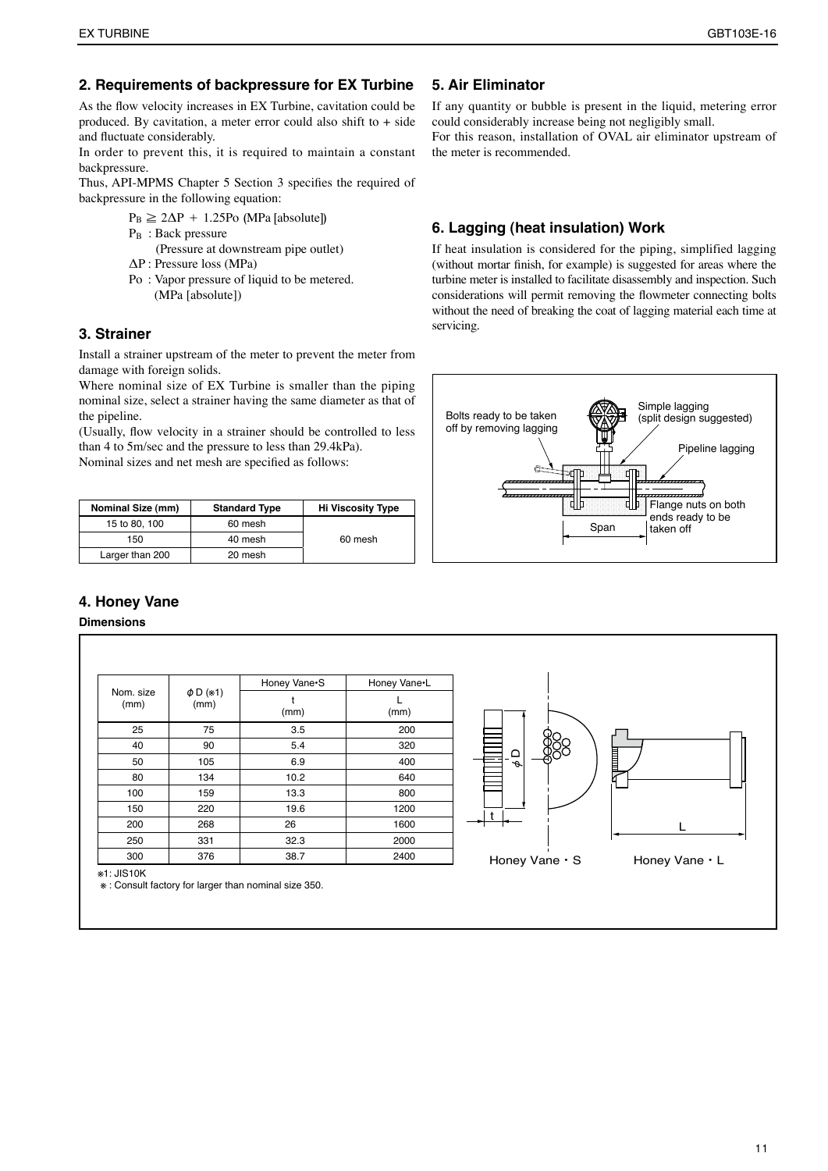#### **2. Requirements of backpressure for EX Turbine**

As the flow velocity increases in EX Turbine, cavitation could be produced. By cavitation, a meter error could also shift to  $+$  side and fluctuate considerably.

In order to prevent this, it is required to maintain a constant backpressure.

Thus, API-MPMS Chapter 5 Section 3 specifies the required of backpressure in the following equation:

- $P_B \geq 2\Delta P + 1.25P_O$  (MPa [absolute])
- P<sub>B</sub> : Back pressure

 (Pressure at downstream pipe outlet) ΔP : Pressure loss (MPa)

Po : Vapor pressure of liquid to be metered. (MPa [absolute])

#### **3. Strainer**

Install a strainer upstream of the meter to prevent the meter from damage with foreign solids.

Where nominal size of EX Turbine is smaller than the piping nominal size, select a strainer having the same diameter as that of the pipeline.

(Usually, flow velocity in a strainer should be controlled to less than 4 to 5m/sec and the pressure to less than 29.4kPa). Nominal sizes and net mesh are specified as follows:

| Nominal Size (mm) | <b>Standard Type</b> | <b>Hi Viscosity Type</b> |  |
|-------------------|----------------------|--------------------------|--|
| 15 to 80, 100     | 60 mesh              |                          |  |
| 150               | 40 mesh              | 60 mesh                  |  |
| Larger than 200   | 20 mesh              |                          |  |

## **5. Air Eliminator**

If any quantity or bubble is present in the liquid, metering error could considerably increase being not negligibly small. For this reason, installation of OVAL air eliminator upstream of

the meter is recommended.

#### **6. Lagging (heat insulation) Work**

If heat insulation is considered for the piping, simplified lagging (without mortar finish, for example) is suggested for areas where the turbine meter is installed to facilitate disassembly and inspection. Such considerations will permit removing the flowmeter connecting bolts without the need of breaking the coat of lagging material each time at servicing.



## **4. Honey Vane**

#### **Dimensions**

| Nom. size<br>(mm) | $\phi$ D (*1)<br>(mm) | Honey Vane <sup>-</sup> S | Honey Vane•L |                  |
|-------------------|-----------------------|---------------------------|--------------|------------------|
|                   |                       | (mm)                      | (mm)         |                  |
| 25                | 75                    | 3.5                       | 200          |                  |
| 40                | 90                    | 5.4                       | 320          |                  |
| 50                | 105                   | 6.9                       | 400          | ≏<br>ĕ<br>$\phi$ |
| 80                | 134                   | 10.2                      | 640          |                  |
| 100               | 159                   | 13.3                      | 800          |                  |
| 150               | 220                   | 19.6                      | 1200         |                  |
| 200               | 268                   | 26                        | 1600         |                  |
| 250               | 331                   | 32.3                      | 2000         |                  |
| 300               | 376                   | 38.7                      | 2400         | Honey Van        |



※1: JIS10K

※ : Consult factory for larger than nominal size 350.